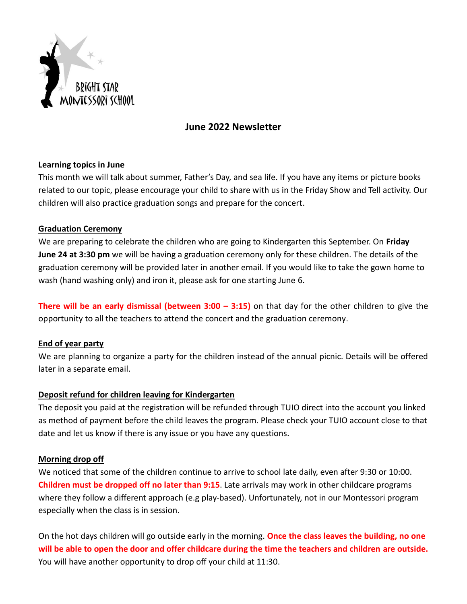

# **June 2022 Newsletter**

## **Learning topics in June**

This month we will talk about summer, Father's Day, and sea life. If you have any items or picture books related to our topic, please encourage your child to share with us in the Friday Show and Tell activity. Our children will also practice graduation songs and prepare for the concert.

# **Graduation Ceremony**

We are preparing to celebrate the children who are going to Kindergarten this September. On **Friday June 24 at 3:30 pm** we will be having a graduation ceremony only for these children. The details of the graduation ceremony will be provided later in another email. If you would like to take the gown home to wash (hand washing only) and iron it, please ask for one starting June 6.

**There will be an early dismissal (between 3:00 – 3:15) on that day for the other children to give the** opportunity to all the teachers to attend the concert and the graduation ceremony.

# **End of year party**

We are planning to organize a party for the children instead of the annual picnic. Details will be offered later in a separate email.

# **Deposit refund for children leaving for Kindergarten**

The deposit you paid at the registration will be refunded through TUIO direct into the account you linked as method of payment before the child leaves the program. Please check your TUIO account close to that date and let us know if there is any issue or you have any questions.

#### **Morning drop off**

We noticed that some of the children continue to arrive to school late daily, even after 9:30 or 10:00. **Children must be dropped off no later than 9:15**. Late arrivals may work in other childcare programs where they follow a different approach (e.g play-based). Unfortunately, not in our Montessori program especially when the class is in session.

On the hot days children will go outside early in the morning. **Once the class leaves the building, no one will be able to open the door and offer childcare during the time the teachers and children are outside.**  You will have another opportunity to drop off your child at 11:30.